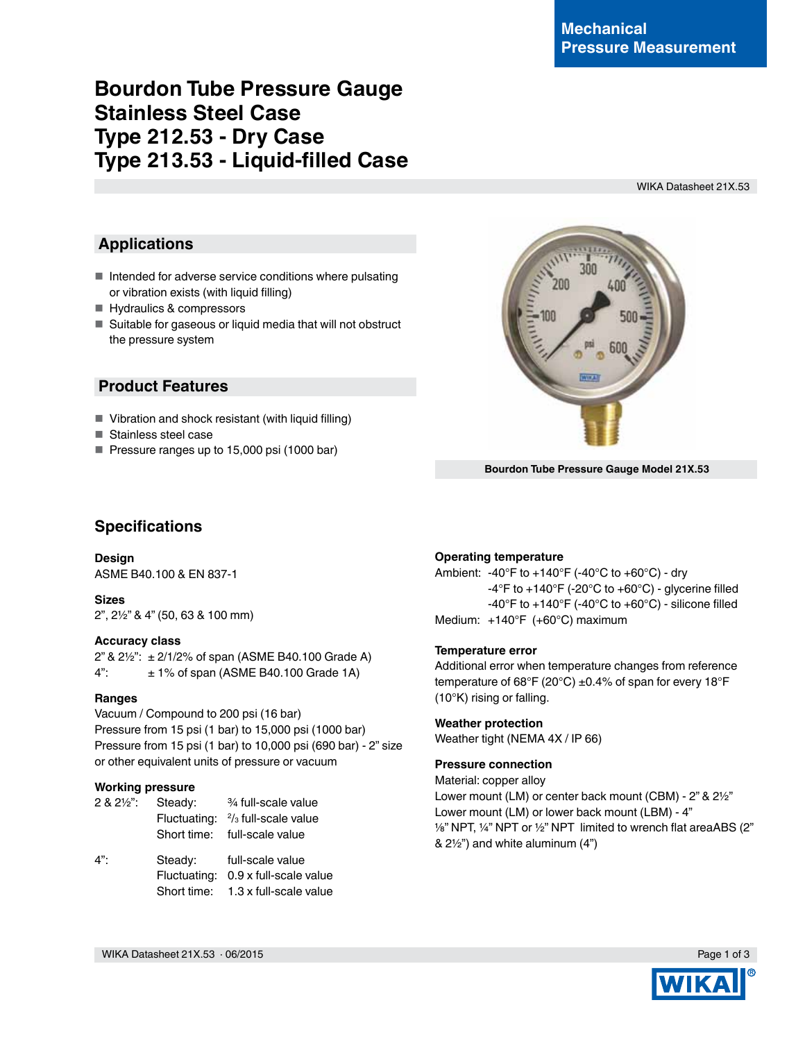# **Bourdon Tube Pressure Gauge Stainless Steel Case Type 212.53 - Dry Case Type 213.53 - Liquid-filled Case**

WIKA Datasheet 21X.53

# **Applications**

- $\blacksquare$  Intended for adverse service conditions where pulsating or vibration exists (with liquid filling)
- Hydraulics & compressors
- Suitable for gaseous or liquid media that will not obstruct the pressure system

# **Product Features**

- Vibration and shock resistant (with liquid filling)
- Stainless steel case
- Pressure ranges up to 15,000 psi (1000 bar)



**Bourdon Tube Pressure Gauge Model 21X.53**

# **Specifications**

**Design** ASME B40.100 & EN 837-1

**Sizes** 2", 2½" & 4" (50, 63 & 100 mm)

#### **Accuracy class**

 $2" 8 2'2"$ :  $\pm 2/1/2\%$  of span (ASME B40.100 Grade A)  $4$ ":  $\pm 1\%$  of span (ASME B40.100 Grade 1A)

#### **Ranges**

Vacuum / Compound to 200 psi (16 bar) Pressure from 15 psi (1 bar) to 15,000 psi (1000 bar) Pressure from 15 psi (1 bar) to 10,000 psi (690 bar) - 2" size or other equivalent units of pressure or vacuum

#### **Working pressure**

- 2 & 2½": Steady: ¾ full-scale value Fluctuating:  $2/3$  full-scale value Short time: full-scale value 4": Steady: full-scale value
- Fluctuating: 0.9 x full-scale value Short time: 1.3 x full-scale value

# **Operating temperature**

Ambient: -40°F to +140°F (-40°C to +60°C) - dry  $-4^{\circ}$ F to  $+140^{\circ}$ F ( $-20^{\circ}$ C to  $+60^{\circ}$ C) - glycerine filled  $-40^{\circ}$ F to  $+140^{\circ}$ F (-40 $^{\circ}$ C to  $+60^{\circ}$ C) - silicone filled Medium: +140°F (+60°C) maximum

# **Temperature error**

Additional error when temperature changes from reference temperature of 68°F (20°C) ±0.4% of span for every 18°F (10°K) rising or falling.

# **Weather protection**

Weather tight (NEMA 4X / IP 66)

#### **Pressure connection**

Material: copper alloy Lower mount (LM) or center back mount (CBM) - 2" & 2½" Lower mount (LM) or lower back mount (LBM) - 4" ⅛" NPT, ¼" NPT or ½" NPT limited to wrench flat areaABS (2" & 2½") and white aluminum (4")

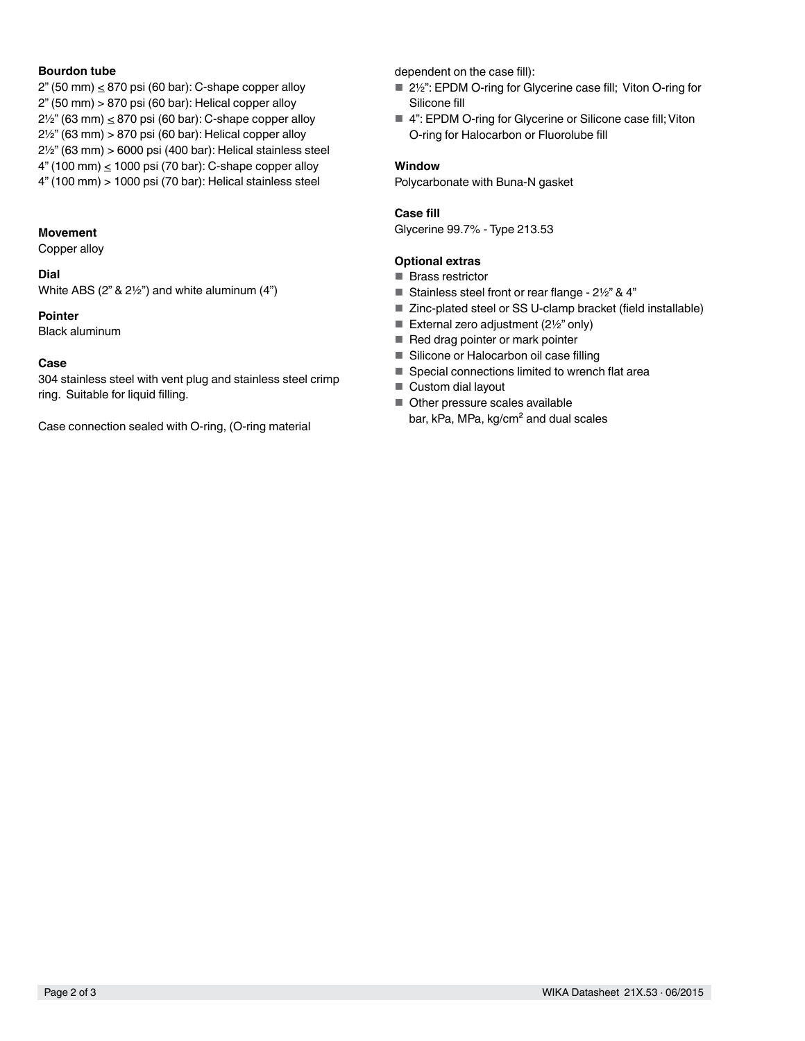#### **Bourdon tube**

 $2"$  (50 mm)  $\leq$  870 psi (60 bar): C-shape copper alloy 2" (50 mm) > 870 psi (60 bar): Helical copper alloy  $2\frac{1}{2}$ " (63 mm)  $\leq$  870 psi (60 bar): C-shape copper alloy 2½" (63 mm) > 870 psi (60 bar): Helical copper alloy 2½" (63 mm) > 6000 psi (400 bar): Helical stainless steel  $4"$  (100 mm)  $\leq$  1000 psi (70 bar): C-shape copper alloy 4" (100 mm) > 1000 psi (70 bar): Helical stainless steel

#### **Movement**

Copper alloy

#### **Dial**

White ABS (2" & 2½") and white aluminum (4")

#### **Pointer**

Black aluminum

### **Case**

304 stainless steel with vent plug and stainless steel crimp ring. Suitable for liquid filling.

Case connection sealed with O-ring, (O-ring material

dependent on the case fill):

- 2½": EPDM O-ring for Glycerine case fill; Viton O-ring for Silicone fill
- 4": EPDM O-ring for Glycerine or Silicone case fill; Viton O-ring for Halocarbon or Fluorolube fill

#### **Window**

Polycarbonate with Buna-N gasket

#### **Case fill**

Glycerine 99.7% - Type 213.53

### **Optional extras**

- Brass restrictor
- Stainless steel front or rear flange 2½" & 4"
- Zinc-plated steel or SS U-clamp bracket (field installable)
- External zero adjustment  $(2\frac{1}{2}\%)$  only)
- Red drag pointer or mark pointer
- Silicone or Halocarbon oil case filling
- Special connections limited to wrench flat area
- Custom dial layout
- Other pressure scales available bar, kPa, MPa, kg/cm<sup>2</sup> and dual scales